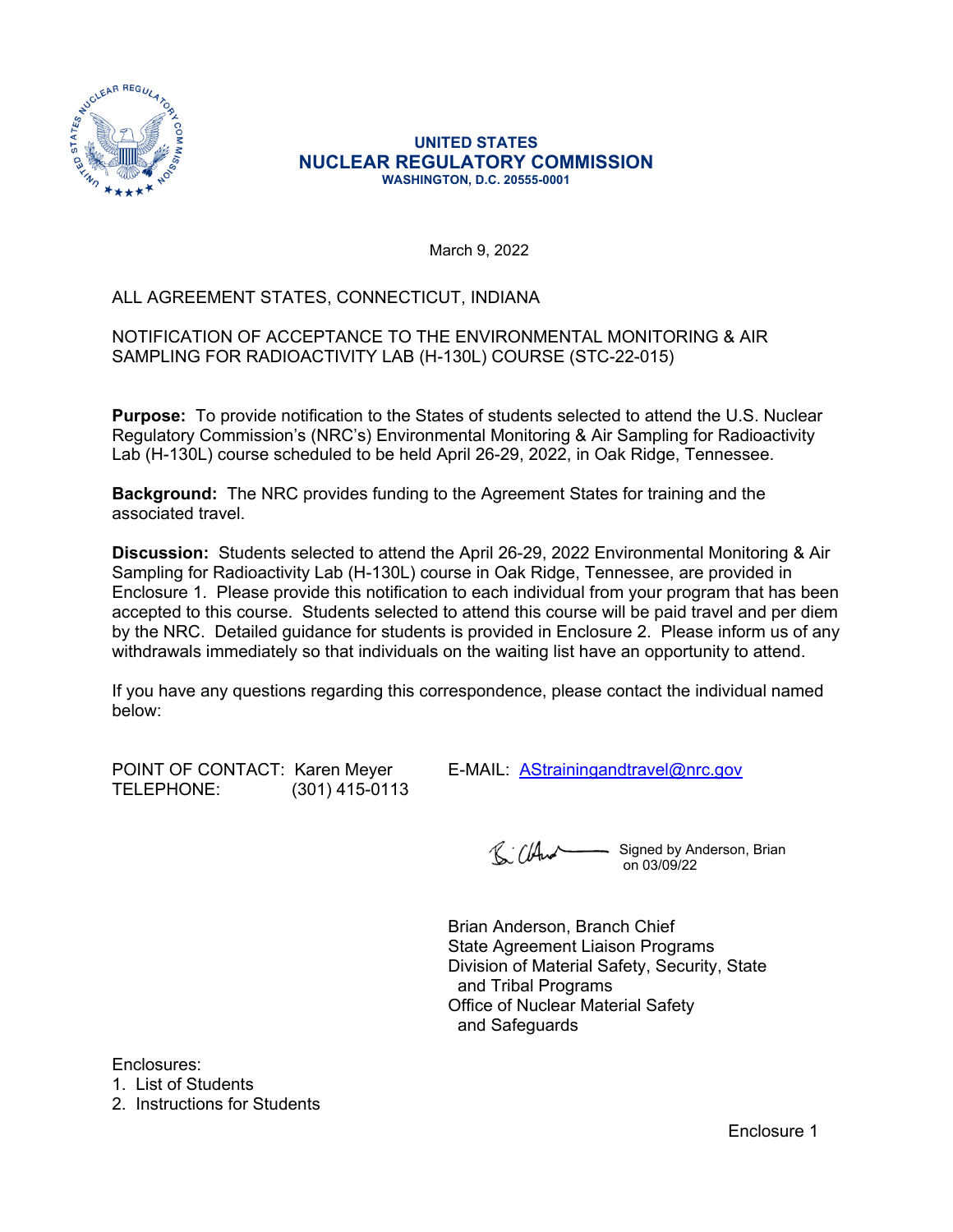

#### **UNITED STATES NUCLEAR REGULATORY COMMISSION WASHINGTON, D.C. 20555-0001**

March 9, 2022

## ALL AGREEMENT STATES, CONNECTICUT, INDIANA

### NOTIFICATION OF ACCEPTANCE TO THE ENVIRONMENTAL MONITORING & AIR SAMPLING FOR RADIOACTIVITY LAB (H-130L) COURSE (STC-22-015)

**Purpose:** To provide notification to the States of students selected to attend the U.S. Nuclear Regulatory Commission's (NRC's) Environmental Monitoring & Air Sampling for Radioactivity Lab (H-130L) course scheduled to be held April 26-29, 2022, in Oak Ridge, Tennessee.

**Background:** The NRC provides funding to the Agreement States for training and the associated travel.

**Discussion:** Students selected to attend the April 26-29, 2022 Environmental Monitoring & Air Sampling for Radioactivity Lab (H-130L) course in Oak Ridge, Tennessee, are provided in Enclosure 1. Please provide this notification to each individual from your program that has been accepted to this course. Students selected to attend this course will be paid travel and per diem by the NRC. Detailed guidance for students is provided in Enclosure 2. Please inform us of any withdrawals immediately so that individuals on the waiting list have an opportunity to attend.

If you have any questions regarding this correspondence, please contact the individual named below:

TELEPHONE: (301) 415-0113

POINT OF CONTACT: Karen Meyer E-MAIL: [AStrainingandtravel@nrc.gov](mailto:AStrainingandtravel@nrc.gov)

R: Cland Signed by Anderson, Brian on 03/09/22

Brian Anderson, Branch Chief State Agreement Liaison Programs Division of Material Safety, Security, State and Tribal Programs Office of Nuclear Material Safety and Safeguards

Enclosures:

1. List of Students

2. Instructions for Students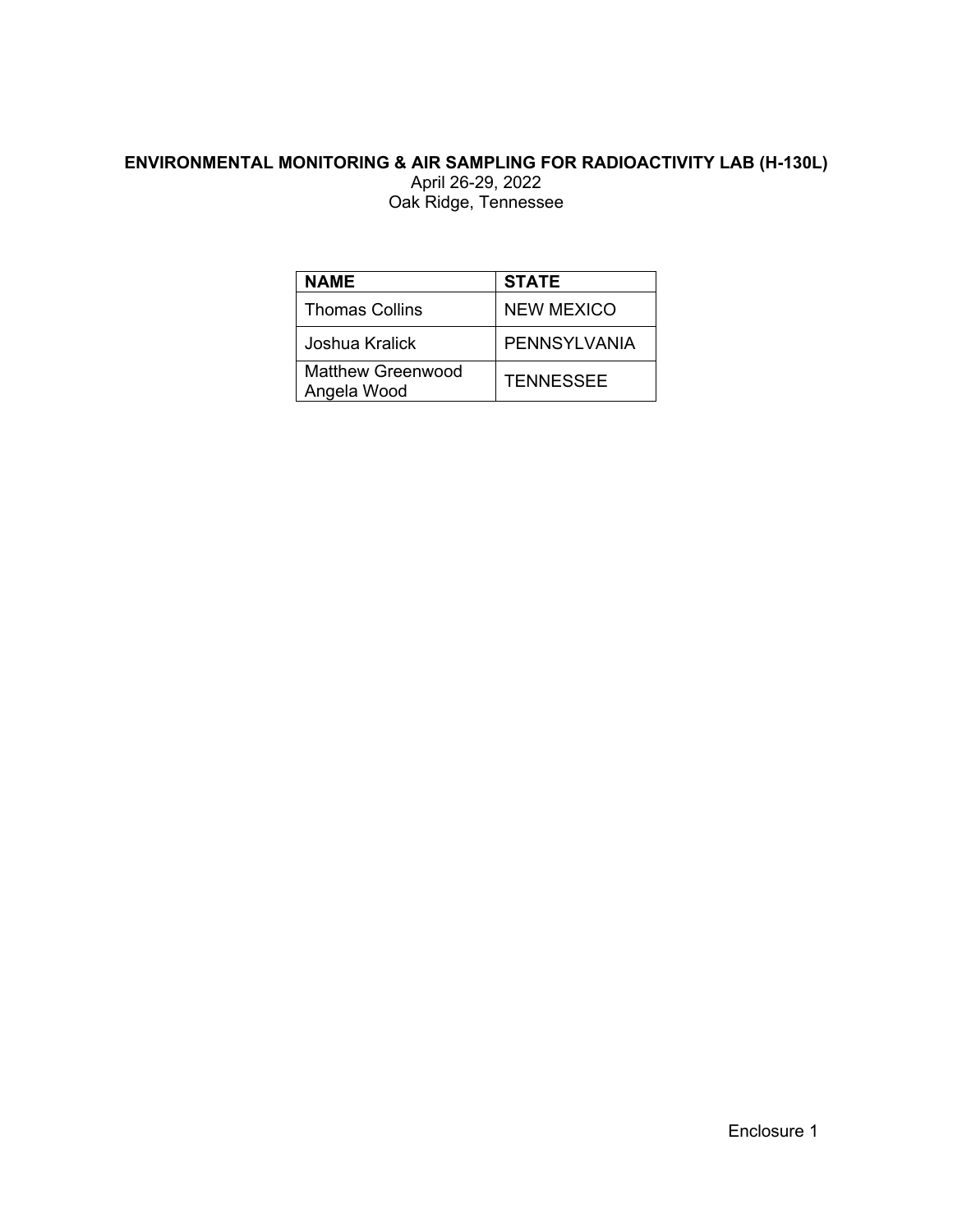# **ENVIRONMENTAL MONITORING & AIR SAMPLING FOR RADIOACTIVITY LAB (H-130L)**

April 26-29, 2022 Oak Ridge, Tennessee

| <b>NAME</b>                             | <b>STATE</b>     |  |
|-----------------------------------------|------------------|--|
| <b>Thomas Collins</b>                   | NEW MEXICO       |  |
| Joshua Kralick                          | PENNSYLVANIA     |  |
| <b>Matthew Greenwood</b><br>Angela Wood | <b>TENNESSEE</b> |  |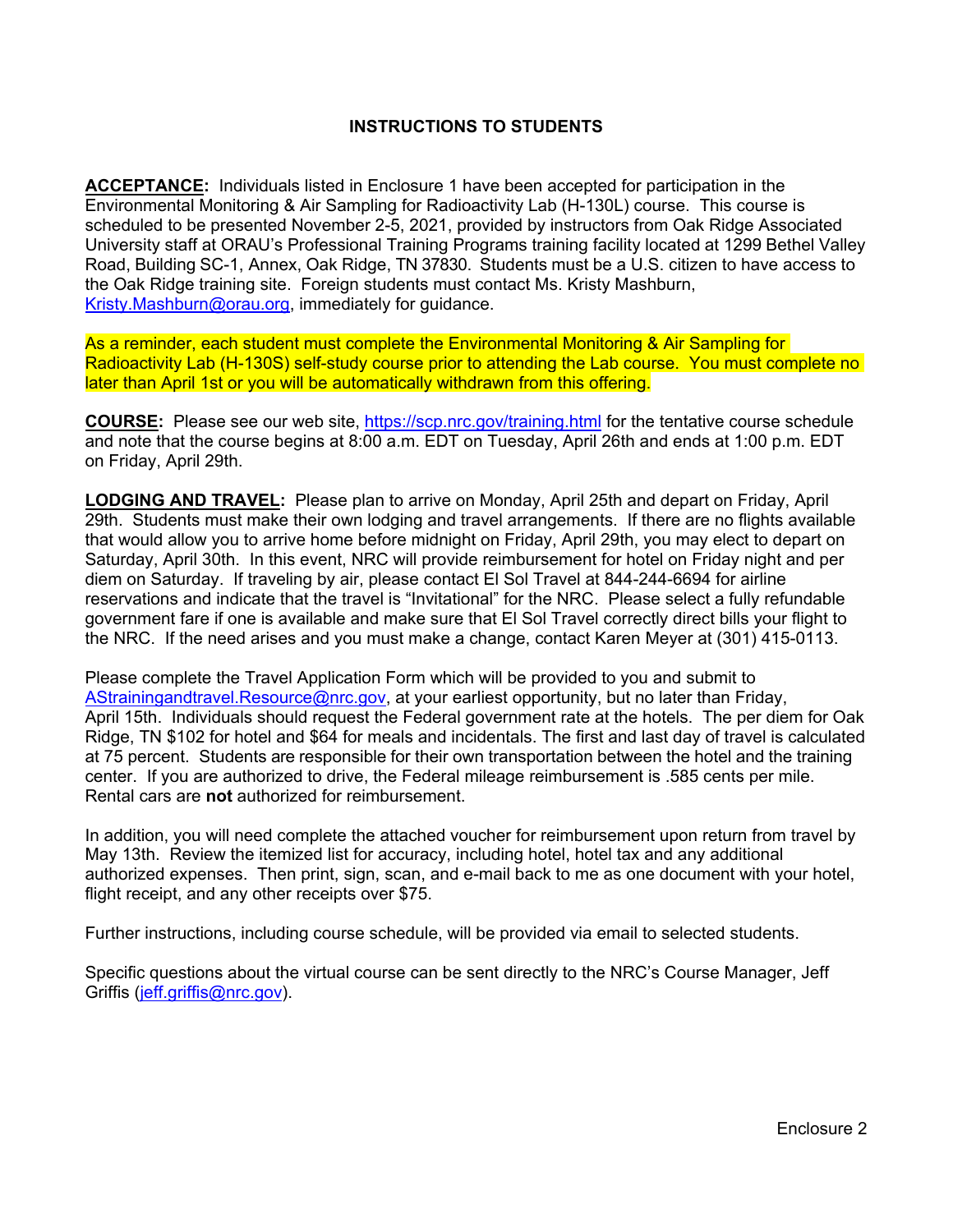### **INSTRUCTIONS TO STUDENTS**

**ACCEPTANCE:** Individuals listed in Enclosure 1 have been accepted for participation in the Environmental Monitoring & Air Sampling for Radioactivity Lab (H-130L) course. This course is scheduled to be presented November 2-5, 2021, provided by instructors from Oak Ridge Associated University staff at ORAU's Professional Training Programs training facility located at 1299 Bethel Valley Road, Building SC-1, Annex, Oak Ridge, TN 37830. Students must be a U.S. citizen to have access to the Oak Ridge training site. Foreign students must contact Ms. Kristy Mashburn, [Kristy.Mashburn@orau.org](mailto:Kristy.Mashburn@orau.org), immediately for guidance.

As a reminder, each student must complete the Environmental Monitoring & Air Sampling for Radioactivity Lab (H-130S) self-study course prior to attending the Lab course. You must complete no later than April 1st or you will be automatically withdrawn from this offering.

**COURSE:** Please see our web site,<https://scp.nrc.gov/training.html>for the tentative course schedule and note that the course begins at 8:00 a.m. EDT on Tuesday, April 26th and ends at 1:00 p.m. EDT on Friday, April 29th.

**LODGING AND TRAVEL:** Please plan to arrive on Monday, April 25th and depart on Friday, April 29th. Students must make their own lodging and travel arrangements. If there are no flights available that would allow you to arrive home before midnight on Friday, April 29th, you may elect to depart on Saturday, April 30th. In this event, NRC will provide reimbursement for hotel on Friday night and per diem on Saturday. If traveling by air, please contact El Sol Travel at 844-244-6694 for airline reservations and indicate that the travel is "Invitational" for the NRC. Please select a fully refundable government fare if one is available and make sure that El Sol Travel correctly direct bills your flight to the NRC. If the need arises and you must make a change, contact Karen Meyer at (301) 415-0113.

Please complete the Travel Application Form which will be provided to you and submit to [AStrainingandtravel.Resource@nrc.gov](mailto:AStrainingandtravel.Resource@nrc.gov), at your earliest opportunity, but no later than Friday, April 15th. Individuals should request the Federal government rate at the hotels. The per diem for Oak Ridge, TN \$102 for hotel and \$64 for meals and incidentals. The first and last day of travel is calculated at 75 percent. Students are responsible for their own transportation between the hotel and the training center. If you are authorized to drive, the Federal mileage reimbursement is .585 cents per mile. Rental cars are **not** authorized for reimbursement.

In addition, you will need complete the attached voucher for reimbursement upon return from travel by May 13th. Review the itemized list for accuracy, including hotel, hotel tax and any additional authorized expenses. Then print, sign, scan, and e-mail back to me as one document with your hotel, flight receipt, and any other receipts over \$75.

Further instructions, including course schedule, will be provided via email to selected students.

Specific questions about the virtual course can be sent directly to the NRC's Course Manager, Jeff Griffis [\(jeff.griffis@nrc.gov](mailto:jeff.griffis@nrc.gov)).